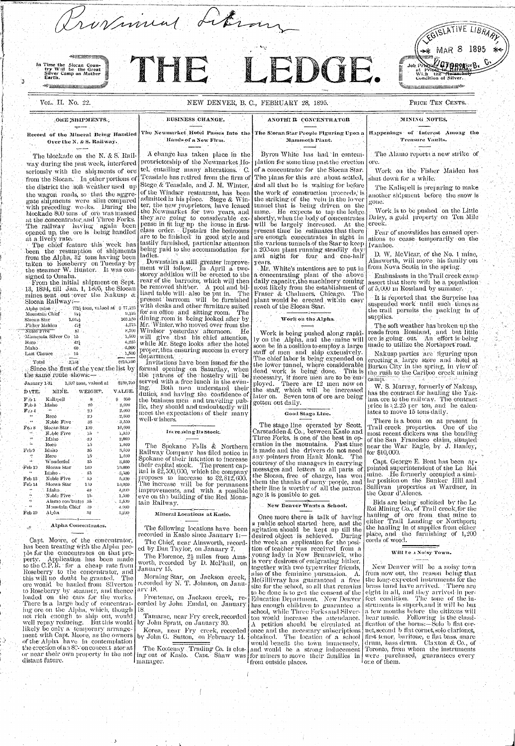

| January 1-31.        |                    | 1,597 tons, valued at the | きもうりょくいい        |
|----------------------|--------------------|---------------------------|-----------------|
| DATE.                | MINE.              | WEIGHT.                   | VALUE.          |
| F.b 1                | Kalispell          | 8                         | -800<br>Š.      |
| $\mathbf{F}_{ab}$ 3. | Idaho              | 20                        | 2,000           |
| $\mathbf{F}$ aby $4$ |                    | 20                        | 2,000.          |
|                      | Reco               | 20.                       | $2,000^{\circ}$ |
|                      | Noble Five         | 35                        | 3,500.          |
| $Fe$ ) $8$           | Slocan Star        | 100                       | 10,000          |
|                      | Noble Five         | $15\,$<br>o               | 1,500           |
|                      | Idaho              | 20                        | 2,000           |
|                      | Reco               | 15                        | 1,500           |
| Feb 9                | Idaho              | 35                        | 3,500           |
|                      | Reco               | $15^{\circ}$              | 1,590           |
|                      | Wonderful          | 35                        | 3,500           |
| $\cdot$ Feb 10       | Slocan Star        | 100                       | 19,000          |
|                      | Idaho              | 85                        | $-3,500$        |
| Feb 13               | Noble Five         | 55                        | 5,000           |
| $\mathrm{Fe}5.14$    | Slocan Star        | 100                       | $10,000$ .      |
|                      | Idaho.             | 40.                       | 4,000           |
|                      | Noble Five         | In.                       | 1,500           |
|                      | Alamo con 'trates' | 35.                       | 3,500           |
|                      | Mountain Chief     | 40                        | 4.000           |
| Feb 19               | Alpha              | 32                        | 3,200           |
|                      |                    |                           |                 |

**The Street Committee Street** 

Alpha Concentrates.

Capt. Moore, of the concentrator, has been treating with the Alpha people for the concentrates on that property. Application has been made to the C.P.R. for a cheap rate from Roseberry to the concentrator, and this will no doubt be granted. The ore would be hauled from Silverton to Roseberry by steamer, and thence loaded on the cars for the works. There is a large body of concentrating ore on the Alpha, which, though is not rich enough to ship out, would well repay reducing. But this would by John Spratt, on January 30. likely be only a temporary arrangement with Capt. Moore, as the owners of the Alpha have in contemplation the erection of an 80-'on concent ator at or near their own property in the not distant future.

Both men understand their ing. duties, and having the confidence of the business men and traveling publie, they should and undoubtedly will meet the expectations of their many well-wishers.

## Increasing Its Stock.

The Spokane Falls & Northern Railway Company has filed notice in Spokane of their intention to increase their capital stock. The present capital is  $2,500,000$ , which the company proposes to increase to \$2,812,600. The increase will be for permanent improvements, and with a possible eve on the building of the Red Mountain Railway.

### Mineral Locations at Kaslo.

The following locations have been recorded in Kaslo since January 1:-

The Chief, near Ainsworth, recorded by Dan Taylor, on January 7.

The Florence,  $2\frac{1}{2}$  miles from Amsworth, recorded by D. McPhail, on January 15.

Morning Star, on Jackson creek, recorded by N. T. Johnson, on Januarv $\pm 18$ .

Frontenae, on Jackson creek, recorded by John Emdal, on January.

Tamarac, near Fry creek, recorded

by John G. Sutton, on February 14.

manager.

ployed. There are 12 men now on the staff, which will be increased later on. Seven tons of ore are being gotten out daily.

## Good Stage Line.

The stage line operated by Scott, Carscadden & Co., between Kaslo and Three Forks, is one of the best in operation in the mountains. Fast time is made and the drivers do not need any pointers from Hank Monk. The courtesy of the managers in carrying. messages and letters to all parts of the Slocan, free of charge, has won them the thanks of many people, and their line is worthy of all the patronage it is possible to get.

## New Benver Wants a School.

Once more there is talk of having a public school started here, and the agitation should be kept up till the desired object is achieved. During the week an application for the position of teacher was received from a young lady in New Brunswick, who is very desirous of emigrating hither. together with two typewriter friends. also of the feminine pursuasion. A. McGillivray has guaranteed a free site for the school, so all that remains to be done is to get the consent of the has enough children to guarantee a school, while Three Forks and Silverton would increase the attendance. A petition should be circulated at Korea, near Fry creek, recorded once and the necessary subscriptions obtained. The location of a school would benefit the town immensely, ing out of Kaslo. Capt. Shaw was for miners to move their families in from outside places.

W. S. Murray, formerly of Nakusp, has the contract for hauling the Yakima ore to the railway. The contract price is  $\{2.25\}$  per ton, and the calculates to move 15 tons daily.

There is a boom on at present in Trail creek properties. One of the most recent dickers was the bonding of the San Francisco claim, situated near the War Eagle, by J. Hanley, for  $$10,000$ .

Capt. George E. Bent has been arpointed superintendent of the Le Roi mine. He formerly occupied a similar position on the Bunker Hill and Sullivan properties at Wardner, in the Cœur d'Alencs.

Bids are being solicited by the Le Roi Mining Co., of Trail creek, for the hauling of ore from that mine to either Trail Landing or Northport; the hauling in of supplies from either place, and the furnishing of 1,200 cords of wood.

### Will be a Noisy Town.

New Denver will be a noisy town from now out, the reason being that the long-expected instruments for the | brass band have arrived. A There are eight in all, and they arrived in per-Education Department. New Denver feet condition. The tone of the instruments is superb, and it will be but a few months before the citizens will hear music. Following is the classi-| fication of the horns:—Solo b flat cornet, second b flat cornet, solo clarionet, first tenor, baritone, e flat bass, snare drum, bass drum. Claxton & Co., of The Kootenay Trading Co. is clos- and would be a strong inducement Toronto, from whom the instruments were purchased, guarantees every one of them.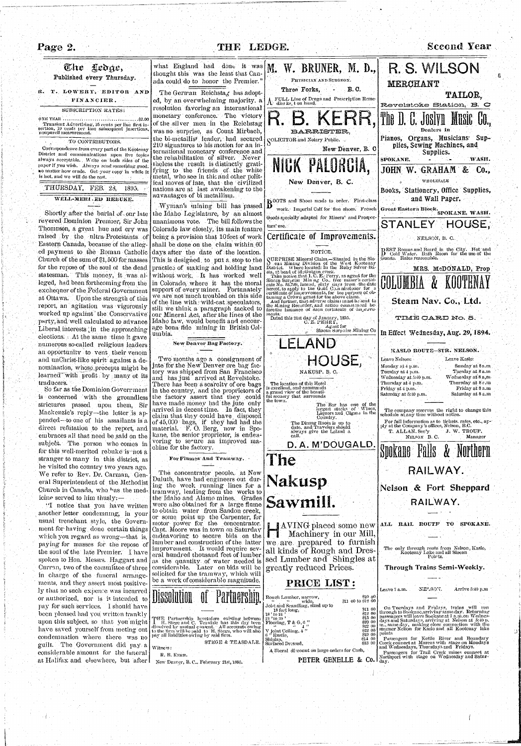

traducers.  $\mathbb{R}^3$ 

" I notice that you have written another letter condemning, in your usual trenchant style, the Government for having, done certain things which you regard as wrong—that is, paying for masses for the repose of the soul of the late Premier. I have spoken to Hon. Messrs. Haggart and Curran, two of the committee of three in charge of the funeral arrangements, and they assert most positively that no such expence was incurred or authorized, nor is *it* intended to pay for such services. 1 should have been pleased had you written frankly upon this subject, so that you might have saved yourself from meting out condemnation where there was no guilt. The Government did pay a considerable amount for the funeral at Halifax and elsewhere, but after

So far as the Dominion Government is concerned with the groundless strictures passed upon them, Sir Mackenzie's reply—the letter is appended—to one of his assailants is a direct refutation to the report, and embraces all that need be said on the subject. The person who comes in for this well-merited rebuke is not a stranger to many in this district, as he visited the country two years ago. We refer to Rev. Dr. Carman, General Superintendent of the Methodist Church in Canada, who has the medicine served to him thusly: —

and has just arrived at Revelstoke. There has been a scarcity of ore bags in the country, and the proprietors of the factory assert that they could have made money had the jute only arrived,in decent time. Imfact, they claim that they could have disposed of 45,000 bags, if they had had the material. F. O. Berg, now in Spokane, the senior proprietor, is endeavoring to secure an improved machine for the factory.

For Flumes And Tramway.

The concentrator people, at New Duluth, have had engineers out during the week running lines for a tramway, leading from the works to the Idaho and Alamo mines. Grades were also obtained for a large flume to obtain water from Sandon creek, or some point up the Carpenter, for motor power for the concentrator. Capt. Moore was in town on Saturday endeavoring to secure bids on the lumber and construction of the latter improvement. It would require several hundred thousand feet of lumber as the quantity of water needed is considerable. Later on bids will be solicited for the tramway, which will be a work of considerable magnitude.

| <b>Dissolution</b>                                                                          | of Partnership. |  |  |
|---------------------------------------------------------------------------------------------|-----------------|--|--|
|                                                                                             |                 |  |  |
| THE Partnership heretofore existing between<br>I H. Stege and C. Teasdale has this day been |                 |  |  |

dissolved by mutual consent. All accounts owing to the linn will lie paid, to H. Stege, who will also pay all liabilities owing bv said firm. STEGE & TEASDALE.

| Witness:    |  |  |
|-------------|--|--|
| R. B. KERR. |  |  |

New Denver, B. C, February 21st, 1895.

| NAKUSP, B. C.                                                                                                                                                                                                                                   | Monday at 4 p.m.<br>Sunuay at 5 a.m<br>Tuesday at 8 a.m<br>Tuesday at 4 p.m.                                                                                                                                                                            |  |  |
|-------------------------------------------------------------------------------------------------------------------------------------------------------------------------------------------------------------------------------------------------|---------------------------------------------------------------------------------------------------------------------------------------------------------------------------------------------------------------------------------------------------------|--|--|
| The location of this Hotel.<br>is excellent, and commands<br>a grand view of the beauti-<br>ful seenery that surrounds<br>the town.                                                                                                             | Wednesday at 8 a,m.<br>Wednesday at 5:40 p.m.<br>Thursday at 8 e.m<br>Thursday at 4 p.m.<br>Friday at 8 a.m<br>Friday at 4 p.m.<br>Saturday at 8 a.m<br>Saturday at 5:10 p.m.                                                                           |  |  |
| The Bar has one of the<br>largest stocks of Wines,<br>Liquors and Cigars in the<br>Country.<br>The Dining Room is up to                                                                                                                         | The company reserves the right to change this<br>schedule at any time without notice.<br>For full information as to tickets, rates, etc., ap-                                                                                                           |  |  |
| date, and Travelers should<br>always give the Leland a<br>call.                                                                                                                                                                                 | ply at the Company's offices, Nelson, B.C.<br>T. ALLAN. Sec'y J. W. TROUP,<br>NELSON B.C.<br>Manager                                                                                                                                                    |  |  |
| D.A. M'DOUGALD.<br>The                                                                                                                                                                                                                          | Spokane Falls & Northern                                                                                                                                                                                                                                |  |  |
| <b>Nakusp</b>                                                                                                                                                                                                                                   | RAILWAY.                                                                                                                                                                                                                                                |  |  |
|                                                                                                                                                                                                                                                 | Nelson & Fort Sheppard                                                                                                                                                                                                                                  |  |  |
| Sawmill.                                                                                                                                                                                                                                        | RAILWAY.                                                                                                                                                                                                                                                |  |  |
| $\parallel$ AVING placed some new $\parallel$<br>Machinery in our Mill,<br>we are prepared to furnish                                                                                                                                           | RAIL ROUTF<br>SPOKANE.<br>TO<br>ALL                                                                                                                                                                                                                     |  |  |
| all kinds of Rough and Dres-<br>sed Lumber and Shingles at                                                                                                                                                                                      | The only through route from Nelson, Kaslo,<br>Kootenay Lake and all Slocan<br>Poirts.                                                                                                                                                                   |  |  |
| greatly reduced Prices.                                                                                                                                                                                                                         | Through Trains Semi-Weekly.                                                                                                                                                                                                                             |  |  |
| PRICE LIST:<br>810 oQ<br>Rough Lumber, narrow,                                                                                                                                                                                                  | NELSON.<br>Arrive 5:40 p.m<br>Leave $7$ a.m.                                                                                                                                                                                                            |  |  |
| $$11\ 00\ to $12\ 00$<br>$\mathbf{5.6}$<br>wide,<br>Joist and Scantling, sized up to<br>\$11 00<br>18 feet long,<br>\$12 00<br>$18'$ to 24 $'$<br>\$13 00<br>21 ' to 30 ' ' '<br>\$20 00<br>Flooring, T & G, 6 $\frac{1}{11}$<br>822,00<br>- 44 | On Tuesdays and Fridays, trains will run<br>through to Spokane, arriving same day. Returning<br>passengers will leave Spokaneat 7 a.m.on Wednes-<br>days and Saturdays, arriving at Nelson at 5:40 p.<br>m., same day, making close connection with the |  |  |
| \$22 00<br>V joint Ceiling, $4$ $"$<br>\$19,00<br>6 <sup>"</sup> Rustic,<br>$$11\,00$<br>Shiplap,<br>\$13 00<br>Surfaced Dressed,                                                                                                               | steamer Nelson for Kaslo and all Kootenay lake<br>points<br>Passengers for Kettle River and Boundary<br>Creek connect at Marcus with stage on Monday's<br>and Wednesdays, Thursdays and Fridays.                                                        |  |  |
| A liberal discount on large orders for Cash,<br>PETER GENELLE & Co.                                                                                                                                                                             | Passengers for Trail Creek mines connect at<br>Northport with stage on Wednesday and Satnr-<br>day.                                                                                                                                                     |  |  |
|                                                                                                                                                                                                                                                 |                                                                                                                                                                                                                                                         |  |  |
|                                                                                                                                                                                                                                                 |                                                                                                                                                                                                                                                         |  |  |

**fi**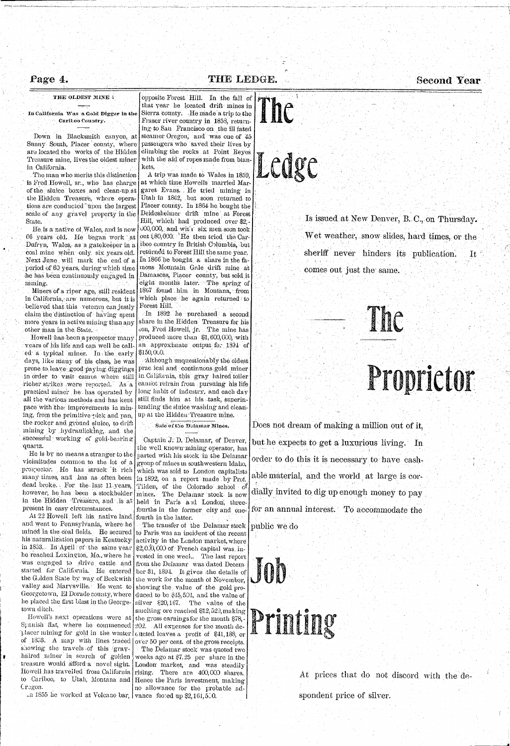## Page 4.

## **THE LEDGE.** Second Year

## THE OLDEST MINE  $\ddotsc$

In California Was a Gold Digger in the CariLoo *Country.* 

Down in Blacksmith canyon, at Sunny South, Placer county, where are located the works of the Hidden Treasure mine, lives the oldest miner in California.

. The man who merits this distinction is Fred Howell, sr., who has charge of the. sluice boxes and clean-up at the Hidden Treasure, where operations are conducted "upon the largest scale of any gravel property in the State.

Miners of a riper age, still resident in California, are numerous, but it is believed that this veteran can justly claim the distinction of haying spent more years in active mining than any other man in the. State.

Howell has-been a prospector many years of his life and can well be call $e$ d<sup>-</sup> a typical miner. In the early \$150,000. days, like many of his class, he was  $\text{prone to } \text{leave: good pairs } \text{digging}.$ richer strikes were reported. As a practical miner he has operated by all the various methods and has kept pace with the improvements in mining, from the primitive pick and pan, the rocker and ground sluice, to drift mining by hydraulicking, and the successful working of gold-bearing quartz. He is by no means a stranger to the vicissitudes common to the lot of a prospector. He has struck it rich many times, and has as often been dead broke. For the last 11 years, however, he has been a stockholder in the Hidden Treasure, and is at held in Paris and London, threepresent in easy circumstances. At  $22$  Howell left his native land, fourth in the latter. and went to Pennsylvania, where *he*  mined in the coal fields. He secured his naturalization papers in Kentucky activity in the London market, where in 1853. In April of the same year he reached Lexington, Mo., where he was engaged to drive, cattle and started for California. He entered the Golden State by way of Beckwith valley and Marysville. He went to Georgetown, El Dorado county, where he placed the. first blast in the Georgetown ditch. Howell's next operations were at the gross earnings for the month \$78,-Spanish flat, where he commenced  $\big\vert\,202$ . All expenses for the month deplacer mining for gold in the winter  $\lceil$  queted leaves a profit of \$41,188, or of 1853. A map with lines traced over 50 per cent, of the gross receipts. showing the travels of this grayhaired miner in search of golden weeks ago at  $$7.25$  per share in the treasure would afford a novel sight. London market, and was steadily Howell has travelled from California rising. There are 400,000 shares. to Cariboo, to Utah, Montana and Hence the Paris investment, making Cregon.

opposite Forest Hill. In the fall of that year he located drift mines in Sierra county. He made a trip to the Fraser river country in 1858, returning to San Francisco on the ill fated steamer Oregon, and was one of 45. passengers who saved their lives by climbing the rocks at Point Reyes with the aid of ropes made from blankets,

He is a native of Wales, and is now 66 years old. He/began- work at Dufryn, Wales,- as a gatekeeper in a coal mine when: only six years old. Next June will mark the end of a period of 6Q years, during which time he has been continuously engaged in mining.

A trip was made to Wales in 1859, at which time Howells; married Margaret Evans. He tried mining in Utah in 1862, but soon returned to Placer county. In 1864 he bought the Deidesheimer drift mine at Forest Hill, which had produced over \$2,-  $000,000,$ , and wit't six men soon took out \$.80,000. \* He then tried the Cariboo country in British Golumbia, but returned to Forest Hill the same year. In 1866 he bought a share in the famous Mountain Grde drift mine at Damascus, Placer county, but sold it eight months later. The spring of 1867 found him in Montana, from which place he again returned to Forest Hill.

In 1892 he purchased a second share in the Hidden Treasure for his son, Fred Howell, jr. The mine has produced' more than \$1,600,000, with an approximate' output for 1891 of

in order to visit camps where still in California, this gray haired toiler Although unquestionably the oldest prac ical and continuous^gold miner cannot refrain from . pursuing his life long habit of industry, and each day still finds him at his task, superintending the sluice washing and cleanup at the Hidden Treasure mine.

# Ledge

sheriff never hinders its publication. It comes out just the same.



# Proprietor **A LUPLICIUI**

 $\pm$ n 1855 he worked at Volcano bar, | vance footed up \$2,161,500.

ŧ.

Sale of the Delamar Mines.

Does not dream of making a million out of it, but he expects to get a luxurious living. In order to do this it is necessary to have cashable material, and the world at large is cordially invited to dig up enough money to pay for an annual interest. To accommodate the public we do



Captain J. D. Delamar, of Denver, the well known mining operator, has parted with his stock in the Delamar group of mines in southwestern Idaho, which was sold to London capitalists in 1892, on a report made by Prof. Tiiden, of the Colorado school of mines. The Delamar stock is now fourths in the former city and one-

The transfer of the Delamar stock to Paris was an incident of the recent  $\frac{1}{2}$ ,0.0,000 of French capital was, invested in one week. The last report from the Delamar was dated December31, 1894. It gives -the details of the work for the month of November. showing the value of the gold produced to be \$45,504, and the value of silver  $$20,167$ . The value of the smelting ore reached \$12,529, making The Delamar stock was quoted two no allowance for the probable ad-

## Is issued at New Denver, B. C, on Thursday.

Wet weather, snow slides, hard times, or the

At prices that do not discord with the despondent price of silver.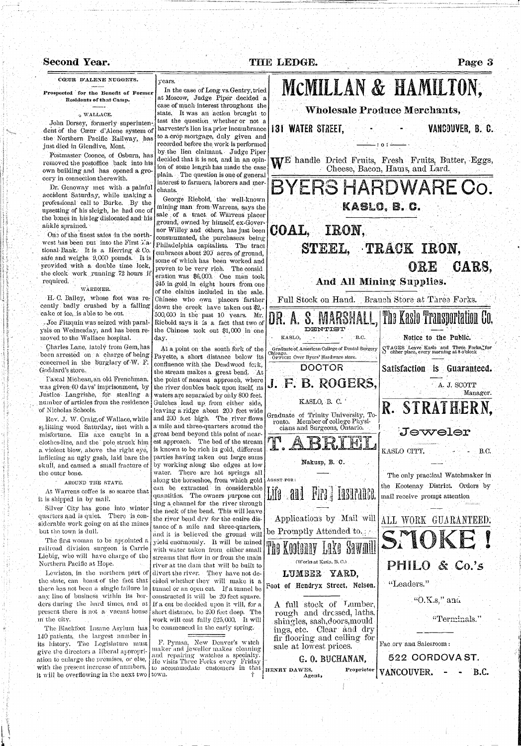Pascal Micheau, an old Frenchman, was given 60 days' imprisonment, by Justice Langrishe, for stealing a of Nicholas Schools.

Silver City has gone into winter quarters and is quiet. There is considerable work going on at the mines but the town is dull.

Lewiston, in the northern part of the state, can boast of the fact that any line of business within its borders during the hard times, and at present there is not a vacant house m the city.

Rev, J. W. Craig, of Wallace, while splitting wood Saturday, met with a misfortune. His axe caught in a clothes-line, and the pole struck him a violent blow, above the right eye, inflicting an ugly gash, laid bare the skull, and caused a small fracture of the outer bone.

AROUND THE STATE.

At Warrens coffee is so scarce that it is shipped in by mail.

The first woman to be appointed a railroad division surgeon is. Carrie Liebig, who will have charge of the Northern Pacific at Hope.

#### Second Year. **Passect 19 THE LEDGE.** Page 3 CCEUR D'ALENE NUGGETS. years. MCMILLAN & HAMILTON, In the case of Long vs. Gentry, tried **Prospected for tli e Benefit o f Forme r**  at Moscow, Judge Piper decided a **Residents of that Camp.** case of much interest throughout the Wholesale Produce Merchants, state. It was an action brought to **WALLACE.**  test the question whether or not a John Dorsey, formerly superinten-**131 WATER STREET, Example 20 Fig. 131 WANGOUVER, B. C.** harvester's lien is a prior incumbrance dent of the Coeur d'Alene system of to a crop mortgage, duly given and the Northern Pacific Bailway, has recorded before the work is performed **0**  just died in Glendive, Mont. by the lien claimant, Judge Piper Postmaster Coonce, of Osburn, has decided that it is not, and in an opin-E handle Dried Fruits, Fresh Fruits, Batter, Eggs, removed the postoffice back into his ion of some length has made the case Cheese, Bacon, Hams, and Lard. own building and has opened a groplain. The question is one of general cery in connection there with. interest to farmers, laborers and mer-BYERS HARDWARE CO. Dr. Genoway met with a painful chants. accident Saturday, while making a George Riebold, the well-known professional call to Burke. /By the mining man from Warrens, says the upsetting of his sleigh, he had one of ن<br>سم sale of a tract of Warrens placer the bones in his leg dislocated and his ground, owned by himself, ex-Goverankle sprained. COAL, IRON. nor Willey and others, has just been One of the finest safes in the northconsummated, the purchasers being west has been put into the First  $\tilde{x}$ a-| Philadelphia capitalists. The tract STEEL, TRACK IRON, tional Bank. It is a Herring & Co. embraces about 200 acres of ground, safe and weighs 9,000 pounds. It is some of which has been worked and ORE CARS, provided with a double time lock, proven to be very rich. The consid the clock work running 72 hours if eratiqn was \$6,003. One man took And, All Mining' Supplies. required. \$45 in gold in eight hours from one WARDNER. of the claims included in the sale. H. C. Bailey, whose foot was re-Chinese who own placers farther Full Stock on Hand. Branch Store at Three Forks. cently badly crushed by a falling down the creek have taken ont \$2,-A. S. MARSHALL, The Kaslo Transportation Co. cake of ice, is able to be out. 500,003 in the past 10 years. Mr. Riebold says it is a fact that two of . Joe Fitzquin was seized with paralthe Chinese took out \$1,000 in one ysis on Wednesday, and has been re-**DHUSTTIST**  Notice to the Public. moved to the Wallace hospital. . KASLO, B.C. day. Charles Lane, lately from Gem, has **s**  TAGES Leave Kaslo and Three Porks,Ifor At a point on the south fork of the Graduate of American College of Dental Surgery either place, every morning at 8 o'clock Chicago. been arrested on a charge of being Payette, a short distance below its OFFICE: Over Bycrs' Hardware store. concerned in the burglary of W. F. .confluence with the Dead wood fork, **DOCTOR** Satisfaction is Guaranteed. Goddard's store.. the stream makes a great bend. At

number of articles from the residence Gulches lead up from cither side, there has not been a single failure in tunnel or an open cut. If a tunnel be the point of nearest approach, where the river doubles back upon itself, its waters are separated by ohly 800 feet. leaving a ridge about 203 feet wide and 200 feet high. The river flows a mile and three-quarters around the great bend beyond this point of nearest approach. The bed of the stream is known to be rich iu gold, different parties having taken out large sums by working along the edges at low water. There are hot springs all along the horseshoe, from which gold can be extracted in considerable quantities. The owners purpose cut ting a channel for the river through the neck of the bend. This will leave the river bend dry for the entire distance of. a mile and three-quarters, and it is believed the ground will yield enormous]y. It will be mined with water taken from, either small streams that flow in or from the main river at the dam that will be built to divert the river. They have not decided whether they will make it a constructed it will be 20 feet square. If a cut be decided upon it will, for a short distance, be 200 feet deep. The work will cost fully \$25,000, It will be commenced in the early spring.

> F. Pynian, New Denver's witch maker'and'jeweller makes cleaning and repairing watches a specialty. He visits Three Forks every Friday to accommodate customers in that town. •  $\mathbb{R}^n$  •  $\mathbb{R}^n$  •  $\mathbb{R}^n$  •  $\mathbb{R}^n$  •  $\mathbb{R}^n$  •  $\mathbb{R}^n$

The Biackfoot Insane Asvlum has 140 patients, the largest number in its history. The Legislature must give tbe directors a liberal appropriation to enlarge the premises, or else, with the present increase of numbers, it will be overflowing in the next two